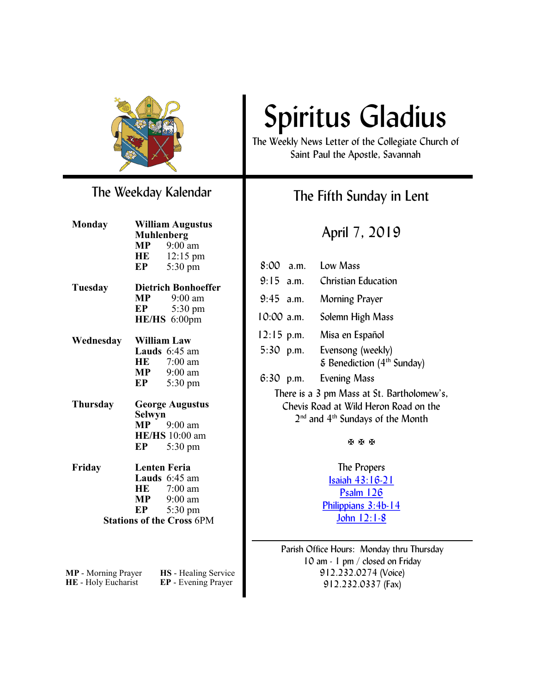

### The Weekday Kalendar

| <b>Monday</b>              | <b>William Augustus</b>    |                                  |  |
|----------------------------|----------------------------|----------------------------------|--|
|                            | <b>Muhlenberg</b>          |                                  |  |
|                            |                            | $MP$ 9:00 am                     |  |
|                            | HE                         | $12:15 \text{ pm}$               |  |
|                            | EP                         | 5:30 pm                          |  |
| Tuesday                    | <b>Dietrich Bonhoeffer</b> |                                  |  |
|                            | $\bf{MP}$                  | $9:00$ am                        |  |
|                            | EP                         | $5:30 \text{ pm}$                |  |
|                            |                            | HE/HS 6:00pm                     |  |
| Wednesday                  | <b>William Law</b>         |                                  |  |
|                            |                            | Lauds 6:45 am                    |  |
|                            |                            | HE 7:00 am                       |  |
|                            |                            | $MP$ 9:00 am                     |  |
|                            | EP                         | 5:30 pm                          |  |
| Thursday                   |                            | <b>George Augustus</b>           |  |
|                            | <b>Selwyn</b>              |                                  |  |
|                            | <b>MP</b>                  | 9:00 am                          |  |
|                            |                            | <b>HE/HS</b> 10:00 am            |  |
|                            | EP                         | 5:30 pm                          |  |
| Friday                     | <b>Lenten Feria</b>        |                                  |  |
|                            |                            | Lauds 6:45 am                    |  |
|                            | HE                         | 7:00 am                          |  |
|                            |                            | $MP$ 9:00 am                     |  |
|                            |                            | $EP$ 5:30 pm                     |  |
|                            |                            | <b>Stations of the Cross 6PM</b> |  |
|                            |                            |                                  |  |
|                            |                            |                                  |  |
| <b>MP</b> - Morning Prayer |                            | HS - Healing Service             |  |
| HE - Holy Eucharist        |                            | EP - Evening Prayer              |  |

# Spiritus Gladius

The Weekly News Letter of the Collegiate Church of Saint Paul the Apostle, Savannah

### The Fifth Sunday in Lent

April 7, 2019

| 8:00 a.m. Low Mass                                                                                                          |                                                                                |  |
|-----------------------------------------------------------------------------------------------------------------------------|--------------------------------------------------------------------------------|--|
| $9:15$ a.m.                                                                                                                 | <b>Christian Education</b>                                                     |  |
| $9:45$ a.m.                                                                                                                 | <b>Morning Prayer</b>                                                          |  |
|                                                                                                                             | 10:00 a.m. Solemn High Mass                                                    |  |
|                                                                                                                             | 12:15 p.m. Misa en Español                                                     |  |
|                                                                                                                             | 5:30 p.m. Evensong (weekly)<br>$\epsilon$ Benediction (4 <sup>th</sup> Sunday) |  |
|                                                                                                                             | 6:30 p.m. Evening Mass                                                         |  |
| There is a 3 pm Mass at St. Bartholomew's,<br>Chevis Road at Wild Heron Road on the<br>$2nd$ and $4th$ Sundays of the Month |                                                                                |  |
| <b>X X X</b>                                                                                                                |                                                                                |  |
| The Propers                                                                                                                 |                                                                                |  |
| <u>Isaiah 43:16-21</u>                                                                                                      |                                                                                |  |
| <b>Psalm 126</b>                                                                                                            |                                                                                |  |
| Philippians 3:4b-14                                                                                                         |                                                                                |  |
|                                                                                                                             | John $12:1-8$                                                                  |  |
|                                                                                                                             |                                                                                |  |

Parish Office Hours: Monday thru Thursday 10 am - 1 pm / closed on Friday 912.232.0274 (Voice) 912.232.0337 (Fax)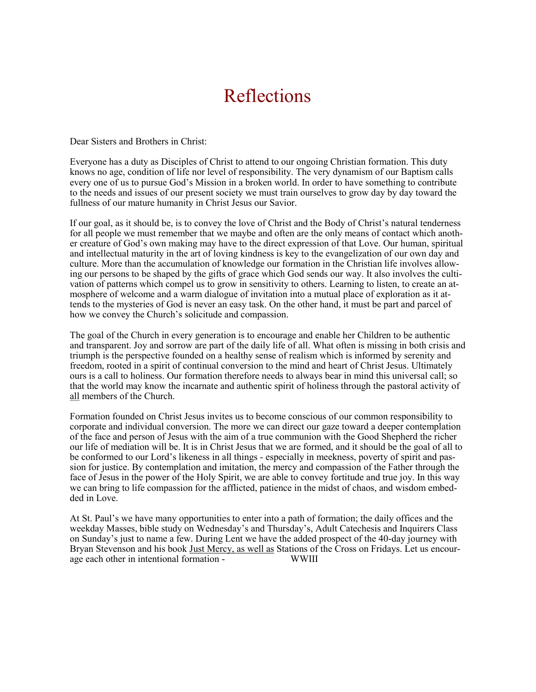### Reflections

Dear Sisters and Brothers in Christ:

Everyone has a duty as Disciples of Christ to attend to our ongoing Christian formation. This duty knows no age, condition of life nor level of responsibility. The very dynamism of our Baptism calls every one of us to pursue God's Mission in a broken world. In order to have something to contribute to the needs and issues of our present society we must train ourselves to grow day by day toward the fullness of our mature humanity in Christ Jesus our Savior.

If our goal, as it should be, is to convey the love of Christ and the Body of Christ's natural tenderness for all people we must remember that we maybe and often are the only means of contact which another creature of God's own making may have to the direct expression of that Love. Our human, spiritual and intellectual maturity in the art of loving kindness is key to the evangelization of our own day and culture. More than the accumulation of knowledge our formation in the Christian life involves allowing our persons to be shaped by the gifts of grace which God sends our way. It also involves the cultivation of patterns which compel us to grow in sensitivity to others. Learning to listen, to create an atmosphere of welcome and a warm dialogue of invitation into a mutual place of exploration as it attends to the mysteries of God is never an easy task. On the other hand, it must be part and parcel of how we convey the Church's solicitude and compassion.

The goal of the Church in every generation is to encourage and enable her Children to be authentic and transparent. Joy and sorrow are part of the daily life of all. What often is missing in both crisis and triumph is the perspective founded on a healthy sense of realism which is informed by serenity and freedom, rooted in a spirit of continual conversion to the mind and heart of Christ Jesus. Ultimately ours is a call to holiness. Our formation therefore needs to always bear in mind this universal call; so that the world may know the incarnate and authentic spirit of holiness through the pastoral activity of all members of the Church.

Formation founded on Christ Jesus invites us to become conscious of our common responsibility to corporate and individual conversion. The more we can direct our gaze toward a deeper contemplation of the face and person of Jesus with the aim of a true communion with the Good Shepherd the richer our life of mediation will be. It is in Christ Jesus that we are formed, and it should be the goal of all to be conformed to our Lord's likeness in all things - especially in meekness, poverty of spirit and passion for justice. By contemplation and imitation, the mercy and compassion of the Father through the face of Jesus in the power of the Holy Spirit, we are able to convey fortitude and true joy. In this way we can bring to life compassion for the afflicted, patience in the midst of chaos, and wisdom embedded in Love.

At St. Paul's we have many opportunities to enter into a path of formation; the daily offices and the weekday Masses, bible study on Wednesday's and Thursday's, Adult Catechesis and Inquirers Class on Sunday's just to name a few. During Lent we have the added prospect of the 40-day journey with Bryan Stevenson and his book Just Mercy, as well as Stations of the Cross on Fridays. Let us encourage each other in intentional formation - WWIII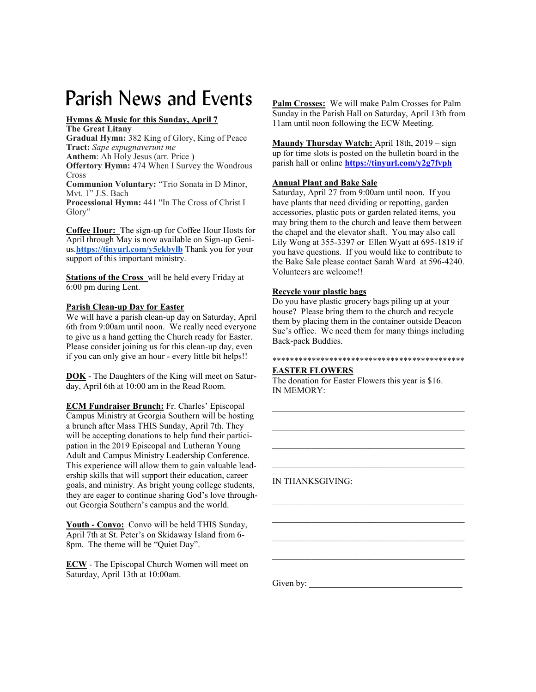## Parish News and Events **Palm Crosses: We will make Palm Crosses** for Palm

#### **Hymns & Music for this Sunday, April 7**

#### **The Great Litany**

**Gradual Hymn:** 382 King of Glory, King of Peace **Tract:** *Sape expugnaverunt me* **Anthem**: Ah Holy Jesus (arr. Price )

**Offertory Hymn:** 474 When I Survey the Wondrous Cross

**Communion Voluntary:** "Trio Sonata in D Minor, Mvt. 1" J.S. Bach

**Processional Hymn:** 441 "In The Cross of Christ I Glory"

**Coffee Hour: T**he sign-up for Coffee Hour Hosts for April through May is now available on Sign-up Genius.**<https://tinyurl.com/y5ekbvlb>** Thank you for your support of this important ministry.

**Stations of the Cross** will be held every Friday at 6:00 pm during Lent.

#### **Parish Clean-up Day for Easter**

We will have a parish clean-up day on Saturday, April 6th from 9:00am until noon. We really need everyone to give us a hand getting the Church ready for Easter. Please consider joining us for this clean-up day, even if you can only give an hour - every little bit helps!!

**DOK** - The Daughters of the King will meet on Saturday, April 6th at 10:00 am in the Read Room.

**ECM Fundraiser Brunch:** Fr. Charles' Episcopal Campus Ministry at Georgia Southern will be hosting a brunch after Mass THIS Sunday, April 7th. They will be accepting donations to help fund their participation in the 2019 Episcopal and Lutheran Young Adult and Campus Ministry Leadership Conference. This experience will allow them to gain valuable leadership skills that will support their education, career goals, and ministry. As bright young college students, they are eager to continue sharing God's love throughout Georgia Southern's campus and the world.

**Youth - Convo:** Convo will be held THIS Sunday, April 7th at St. Peter's on Skidaway Island from 6- 8pm. The theme will be "Quiet Day".

**ECW** - The Episcopal Church Women will meet on Saturday, April 13th at 10:00am.

Sunday in the Parish Hall on Saturday, April 13th from 11am until noon following the ECW Meeting.

**Maundy Thursday Watch:** April 18th, 2019 – sign up for time slots is posted on the bulletin board in the parish hall or online **<https://tinyurl.com/y2g7fvph>**

#### **Annual Plant and Bake Sale**

Saturday, April 27 from 9:00am until noon. If you have plants that need dividing or repotting, garden accessories, plastic pots or garden related items, you may bring them to the church and leave them between the chapel and the elevator shaft. You may also call Lily Wong at 355-3397 or Ellen Wyatt at 695-1819 if you have questions. If you would like to contribute to the Bake Sale please contact Sarah Ward at 596-4240. Volunteers are welcome!!

#### **Recycle your plastic bags**

Do you have plastic grocery bags piling up at your house? Please bring them to the church and recycle them by placing them in the container outside Deacon Sue's office. We need them for many things including Back-pack Buddies.

#### \*\*\*\*\*\*\*\*\*\*\*\*\*\*\*\*\*\*\*\*\*\*\*\*\*\*\*\*\*\*\*\*\*\*\*\*\*\*\*\*\*\*\*\*

\_\_\_\_\_\_\_\_\_\_\_\_\_\_\_\_\_\_\_\_\_\_\_\_\_\_\_\_\_\_\_\_\_\_\_\_\_\_\_\_\_\_\_\_

 $\mathcal{L}_\text{max}$  and the contract of the contract of the contract of the contract of the contract of the contract of the contract of the contract of the contract of the contract of the contract of the contract of the contrac

\_\_\_\_\_\_\_\_\_\_\_\_\_\_\_\_\_\_\_\_\_\_\_\_\_\_\_\_\_\_\_\_\_\_\_\_\_\_\_\_\_\_\_\_

 $\mathcal{L}_\text{max}$  and the contract of the contract of the contract of the contract of the contract of the contract of the contract of the contract of the contract of the contract of the contract of the contract of the contrac

#### **EASTER FLOWERS**

The donation for Easter Flowers this year is \$16. IN MEMORY:

IN THANKSGIVING:

Given by:  $\frac{1}{2}$  Given by: